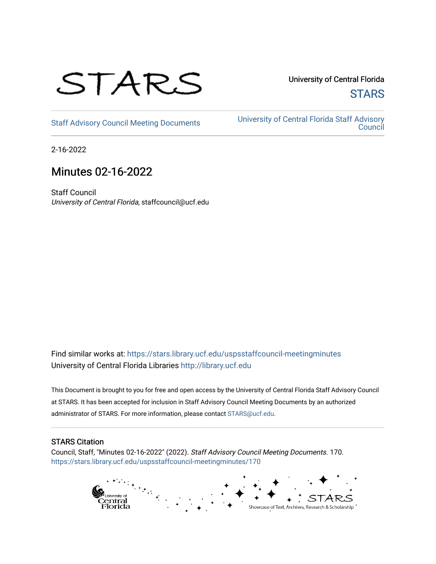

University of Central Florida **STARS** 

[Staff Advisory Council Meeting Documents](https://stars.library.ucf.edu/uspsstaffcouncil-meetingminutes) [University of Central Florida Staff Advisory](https://stars.library.ucf.edu/uspsstaffcouncil)  **Council** 

2-16-2022

# Minutes 02-16-2022

Staff Council University of Central Florida, staffcouncil@ucf.edu

Find similar works at: <https://stars.library.ucf.edu/uspsstaffcouncil-meetingminutes> University of Central Florida Libraries [http://library.ucf.edu](http://library.ucf.edu/) 

This Document is brought to you for free and open access by the University of Central Florida Staff Advisory Council at STARS. It has been accepted for inclusion in Staff Advisory Council Meeting Documents by an authorized administrator of STARS. For more information, please contact [STARS@ucf.edu.](mailto:STARS@ucf.edu)

# STARS Citation

Council, Staff, "Minutes 02-16-2022" (2022). Staff Advisory Council Meeting Documents. 170. [https://stars.library.ucf.edu/uspsstaffcouncil-meetingminutes/170](https://stars.library.ucf.edu/uspsstaffcouncil-meetingminutes/170?utm_source=stars.library.ucf.edu%2Fuspsstaffcouncil-meetingminutes%2F170&utm_medium=PDF&utm_campaign=PDFCoverPages)

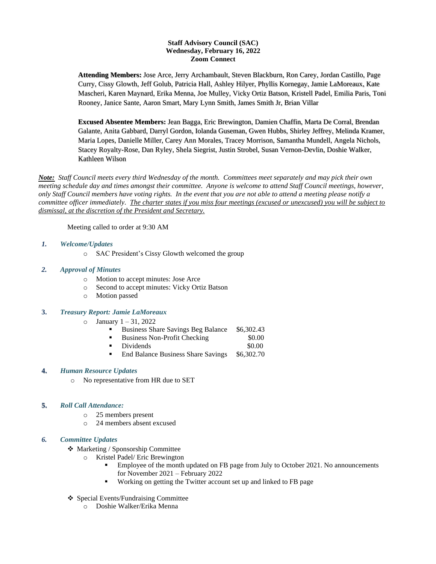### **Staff Advisory Council (SAC) Wednesday, February 16, 2022 Zoom Connect**

**Attending Members:** Jose Arce, Jerry Archambault, Steven Blackburn, Ron Carey, Jordan Castillo, Page Curry, Cissy Glowth, Jeff Golub, Patricia Hall, Ashley Hilyer, Phyllis Kornegay, Jamie LaMoreaux, Kate Mascheri, Karen Maynard, Erika Menna, Joe Mulley, Vicky Ortiz Batson, Kristell Padel, Emilia Paris, Toni Rooney, Janice Sante, Aaron Smart, Mary Lynn Smith, James Smith Jr, Brian Villar

**Excused Absentee Members:** Jean Bagga, Eric Brewington, Damien Chaffin, Marta De Corral, Brendan Galante, Anita Gabbard, Darryl Gordon, Iolanda Guseman, Gwen Hubbs, Shirley Jeffrey, Melinda Kramer, Maria Lopes, Danielle Miller, Carey Ann Morales, Tracey Morrison, Samantha Mundell, Angela Nichols, Stacey Royalty-Rose, Dan Ryley, Shela Siegrist, Justin Strobel, Susan Vernon-Devlin, Doshie Walker, Kathleen Wilson

*Note: Staff Council meets every third Wednesday of the month. Committees meet separately and may pick their own meeting schedule day and times amongst their committee. Anyone is welcome to attend Staff Council meetings, however, only Staff Council members have voting rights. In the event that you are not able to attend a meeting please notify a committee officer immediately. The charter states if you miss four meetings (excused or unexcused) you will be subject to dismissal, at the discretion of the President and Secretary.*

Meeting called to order at 9:30 AM

- *1. Welcome/Updates*
	- o SAC President's Cissy Glowth welcomed the group
- *2. Approval of Minutes*
	- o Motion to accept minutes: Jose Arce
	- o Second to accept minutes: Vicky Ortiz Batson
	- o Motion passed

# **3.** *Treasury Report: Jamie LaMoreaux*

- $\circ$  January 1 31, 2022
	- Business Share Savings Beg Balance \$6,302.43
	- Business Non-Profit Checking \$0.00
	- Dividends \$0.00
	- End Balance Business Share Savings \$6,302.70

#### **4.** *Human Resource Updates*

o No representative from HR due to SET

# **5.** *Roll Call Attendance:*

- o 25 members present
- o 24 members absent excused

#### *6. Committee Updates*

- ❖ Marketing / Sponsorship Committee
	- Kristel Padel/ Eric Brewington
		- Employee of the month updated on FB page from July to October 2021. No announcements for November 2021 – February 2022
		- Working on getting the Twitter account set up and linked to FB page
- ❖ Special Events/Fundraising Committee
	- o Doshie Walker/Erika Menna